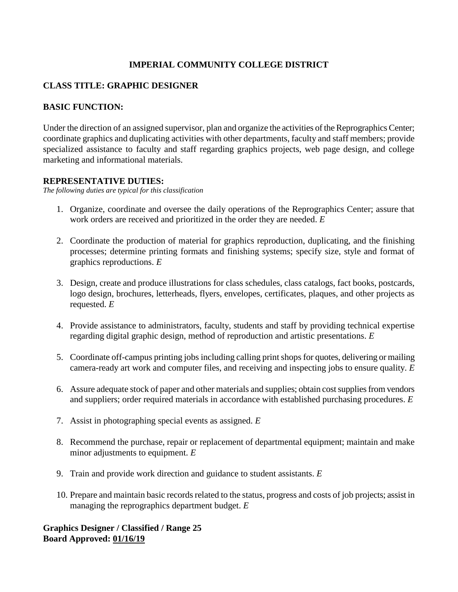### **IMPERIAL COMMUNITY COLLEGE DISTRICT**

### **CLASS TITLE: GRAPHIC DESIGNER**

### **BASIC FUNCTION:**

Under the direction of an assigned supervisor, plan and organize the activities of the Reprographics Center; coordinate graphics and duplicating activities with other departments, faculty and staff members; provide specialized assistance to faculty and staff regarding graphics projects, web page design, and college marketing and informational materials.

#### **REPRESENTATIVE DUTIES:**

*The following duties are typical for this classification*

- 1. Organize, coordinate and oversee the daily operations of the Reprographics Center; assure that work orders are received and prioritized in the order they are needed. *E*
- 2. Coordinate the production of material for graphics reproduction, duplicating, and the finishing processes; determine printing formats and finishing systems; specify size, style and format of graphics reproductions. *E*
- 3. Design, create and produce illustrations for class schedules, class catalogs, fact books, postcards, logo design, brochures, letterheads, flyers, envelopes, certificates, plaques, and other projects as requested. *E*
- 4. Provide assistance to administrators, faculty, students and staff by providing technical expertise regarding digital graphic design, method of reproduction and artistic presentations. *E*
- 5. Coordinate off-campus printing jobs including calling print shops for quotes, delivering or mailing camera-ready art work and computer files, and receiving and inspecting jobs to ensure quality. *E*
- 6. Assure adequate stock of paper and other materials and supplies; obtain cost supplies from vendors and suppliers; order required materials in accordance with established purchasing procedures. *E*
- 7. Assist in photographing special events as assigned. *E*
- 8. Recommend the purchase, repair or replacement of departmental equipment; maintain and make minor adjustments to equipment. *E*
- 9. Train and provide work direction and guidance to student assistants. *E*
- 10. Prepare and maintain basic records related to the status, progress and costs of job projects; assist in managing the reprographics department budget. *E*

## **Graphics Designer / Classified / Range 25 Board Approved: 01/16/19**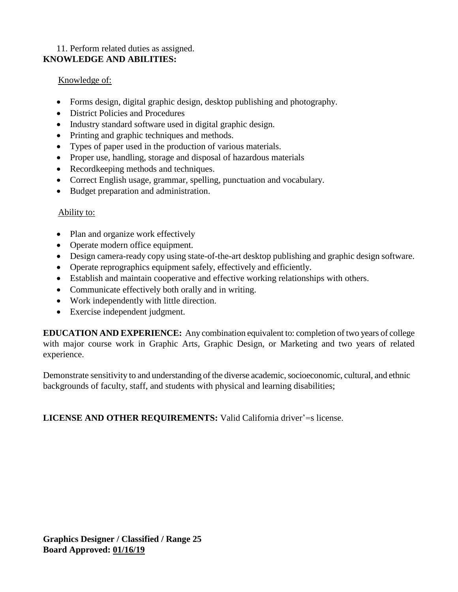## 11. Perform related duties as assigned. **KNOWLEDGE AND ABILITIES:**

### Knowledge of:

- Forms design, digital graphic design, desktop publishing and photography.
- District Policies and Procedures
- Industry standard software used in digital graphic design.
- Printing and graphic techniques and methods.
- Types of paper used in the production of various materials.
- Proper use, handling, storage and disposal of hazardous materials
- Recordkeeping methods and techniques.
- Correct English usage, grammar, spelling, punctuation and vocabulary.
- Budget preparation and administration.

#### Ability to:

- Plan and organize work effectively
- Operate modern office equipment.
- Design camera-ready copy using state-of-the-art desktop publishing and graphic design software.
- Operate reprographics equipment safely, effectively and efficiently.
- Establish and maintain cooperative and effective working relationships with others.
- Communicate effectively both orally and in writing.
- Work independently with little direction.
- Exercise independent judgment.

**EDUCATION AND EXPERIENCE:** Any combination equivalent to: completion of two years of college with major course work in Graphic Arts, Graphic Design, or Marketing and two years of related experience.

Demonstrate sensitivity to and understanding of the diverse academic, socioeconomic, cultural, and ethnic backgrounds of faculty, staff, and students with physical and learning disabilities;

**LICENSE AND OTHER REQUIREMENTS:** Valid California driver'=s license.